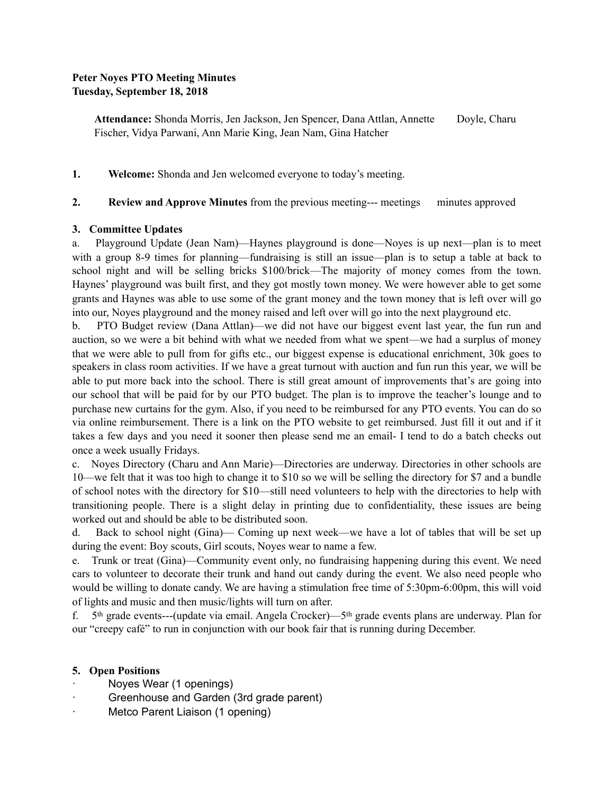# **Peter Noyes PTO Meeting Minutes Tuesday, September 18, 2018**

**Attendance:** Shonda Morris, Jen Jackson, Jen Spencer, Dana Attlan, Annette Doyle, Charu Fischer, Vidya Parwani, Ann Marie King, Jean Nam, Gina Hatcher

**1. Welcome:** Shonda and Jen welcomed everyone to today's meeting.

# **2. Review and Approve Minutes** from the previous meeting--- meetings minutes approved

# **3. Committee Updates**

a. Playground Update (Jean Nam)—Haynes playground is done—Noyes is up next—plan is to meet with a group 8-9 times for planning—fundraising is still an issue—plan is to setup a table at back to school night and will be selling bricks \$100/brick—The majority of money comes from the town. Haynes' playground was built first, and they got mostly town money. We were however able to get some grants and Haynes was able to use some of the grant money and the town money that is left over will go into our, Noyes playground and the money raised and left over will go into the next playground etc.

b. PTO Budget review (Dana Attlan)—we did not have our biggest event last year, the fun run and auction, so we were a bit behind with what we needed from what we spent—we had a surplus of money that we were able to pull from for gifts etc., our biggest expense is educational enrichment, 30k goes to speakers in class room activities. If we have a great turnout with auction and fun run this year, we will be able to put more back into the school. There is still great amount of improvements that's are going into our school that will be paid for by our PTO budget. The plan is to improve the teacher's lounge and to purchase new curtains for the gym. Also, if you need to be reimbursed for any PTO events. You can do so via online reimbursement. There is a link on the PTO website to get reimbursed. Just fill it out and if it takes a few days and you need it sooner then please send me an email- I tend to do a batch checks out once a week usually Fridays.

c. Noyes Directory (Charu and Ann Marie)—Directories are underway. Directories in other schools are 10—we felt that it was too high to change it to \$10 so we will be selling the directory for \$7 and a bundle of school notes with the directory for \$10—still need volunteers to help with the directories to help with transitioning people. There is a slight delay in printing due to confidentiality, these issues are being worked out and should be able to be distributed soon.

d. Back to school night (Gina)— Coming up next week—we have a lot of tables that will be set up during the event: Boy scouts, Girl scouts, Noyes wear to name a few.

e. Trunk or treat (Gina)—Community event only, no fundraising happening during this event. We need cars to volunteer to decorate their trunk and hand out candy during the event. We also need people who would be willing to donate candy. We are having a stimulation free time of 5:30pm-6:00pm, this will void of lights and music and then music/lights will turn on after.

f. 5th grade events---(update via email. Angela Crocker)—5th grade events plans are underway. Plan for our "creepy café" to run in conjunction with our book fair that is running during December.

#### **5. Open Positions**

- Noyes Wear (1 openings)
- Greenhouse and Garden (3rd grade parent)
- Metco Parent Liaison (1 opening)